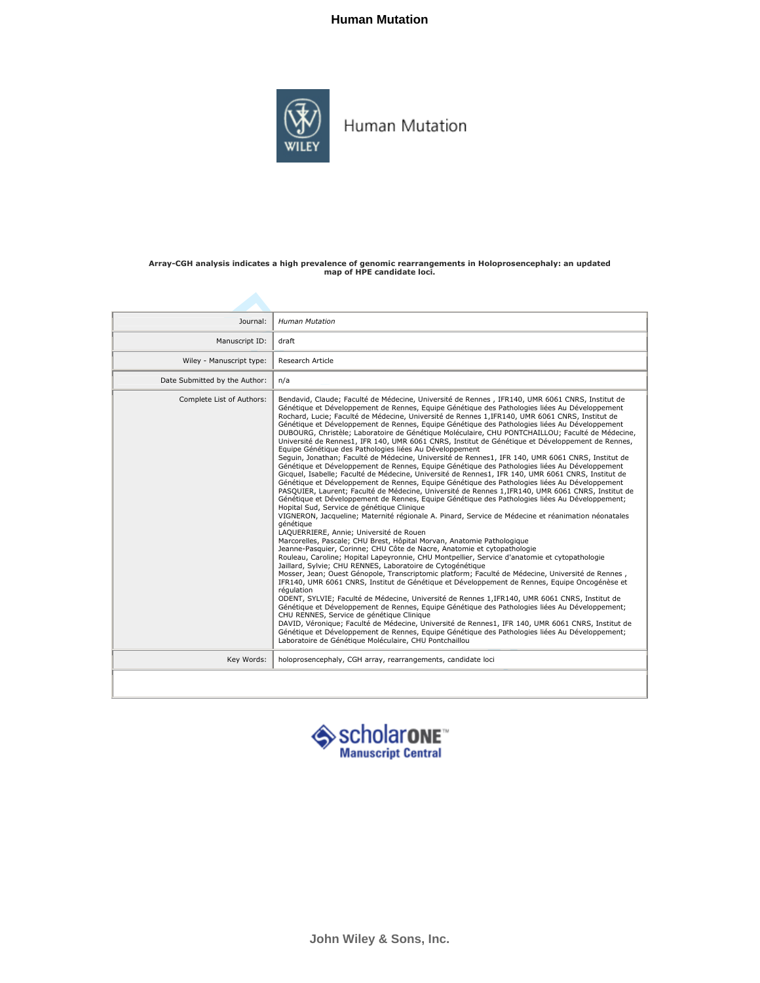#### **Human Mutation**



Human Mutation

### Array-CGH analysis indicates a high prevalence of genomic rearrangements in Holoprosencephaly: an updated map of HPE candidate loci.

| Journal:                      | <b>Human Mutation</b>                                                                                                                                                                                                                                                                                                                                                                                                                                                                                                                                                                                                                                                                                                                                                                                                                                                                                                                                                                                                                                                                                                                                                                                                                                                                                                                                                                                                                                                                                                                                                                                                                                                                                                                                                                                                                                                                                                                                                                                                                                                                                                                                                                                                                                                                                                                                                                                                                                                                                                                                              |
|-------------------------------|--------------------------------------------------------------------------------------------------------------------------------------------------------------------------------------------------------------------------------------------------------------------------------------------------------------------------------------------------------------------------------------------------------------------------------------------------------------------------------------------------------------------------------------------------------------------------------------------------------------------------------------------------------------------------------------------------------------------------------------------------------------------------------------------------------------------------------------------------------------------------------------------------------------------------------------------------------------------------------------------------------------------------------------------------------------------------------------------------------------------------------------------------------------------------------------------------------------------------------------------------------------------------------------------------------------------------------------------------------------------------------------------------------------------------------------------------------------------------------------------------------------------------------------------------------------------------------------------------------------------------------------------------------------------------------------------------------------------------------------------------------------------------------------------------------------------------------------------------------------------------------------------------------------------------------------------------------------------------------------------------------------------------------------------------------------------------------------------------------------------------------------------------------------------------------------------------------------------------------------------------------------------------------------------------------------------------------------------------------------------------------------------------------------------------------------------------------------------------------------------------------------------------------------------------------------------|
| Manuscript ID:                | draft                                                                                                                                                                                                                                                                                                                                                                                                                                                                                                                                                                                                                                                                                                                                                                                                                                                                                                                                                                                                                                                                                                                                                                                                                                                                                                                                                                                                                                                                                                                                                                                                                                                                                                                                                                                                                                                                                                                                                                                                                                                                                                                                                                                                                                                                                                                                                                                                                                                                                                                                                              |
| Wiley - Manuscript type:      | Research Article                                                                                                                                                                                                                                                                                                                                                                                                                                                                                                                                                                                                                                                                                                                                                                                                                                                                                                                                                                                                                                                                                                                                                                                                                                                                                                                                                                                                                                                                                                                                                                                                                                                                                                                                                                                                                                                                                                                                                                                                                                                                                                                                                                                                                                                                                                                                                                                                                                                                                                                                                   |
| Date Submitted by the Author: | n/a                                                                                                                                                                                                                                                                                                                                                                                                                                                                                                                                                                                                                                                                                                                                                                                                                                                                                                                                                                                                                                                                                                                                                                                                                                                                                                                                                                                                                                                                                                                                                                                                                                                                                                                                                                                                                                                                                                                                                                                                                                                                                                                                                                                                                                                                                                                                                                                                                                                                                                                                                                |
| Complete List of Authors:     | Bendavid, Claude; Faculté de Médecine, Université de Rennes, IFR140, UMR 6061 CNRS, Institut de<br>Génétique et Développement de Rennes, Equipe Génétique des Pathologies liées Au Développement<br>Rochard, Lucie; Faculté de Médecine, Université de Rennes 1, IFR140, UMR 6061 CNRS, Institut de<br>Génétique et Développement de Rennes, Equipe Génétique des Pathologies liées Au Développement<br>DUBOURG, Christèle: Laboratoire de Génétique Moléculaire, CHU PONTCHAILLOU: Faculté de Médecine,<br>Université de Rennes1, IFR 140, UMR 6061 CNRS, Institut de Génétique et Développement de Rennes,<br>Equipe Génétique des Pathologies liées Au Développement<br>Sequin, Jonathan; Faculté de Médecine, Université de Rennes1, IFR 140, UMR 6061 CNRS, Institut de<br>Génétique et Développement de Rennes, Equipe Génétique des Pathologies liées Au Développement<br>Gicquel, Isabelle; Faculté de Médecine, Université de Rennes1, IFR 140, UMR 6061 CNRS, Institut de<br>Génétique et Développement de Rennes, Equipe Génétique des Pathologies liées Au Développement<br>PASQUIER, Laurent; Faculté de Médecine, Université de Rennes 1, IFR140, UMR 6061 CNRS, Institut de<br>Génétique et Développement de Rennes, Equipe Génétique des Pathologies liées Au Développement;<br>Hopital Sud, Service de génétique Clinique<br>VIGNERON, Jacqueline; Maternité régionale A. Pinard, Service de Médecine et réanimation néonatales<br>aénétique<br>LAQUERRIERE, Annie; Université de Rouen<br>Marcorelles, Pascale; CHU Brest, Hôpital Morvan, Anatomie Pathologique<br>Jeanne-Pasquier, Corinne; CHU Côte de Nacre, Anatomie et cytopathologie<br>Rouleau, Caroline; Hopital Lapeyronnie, CHU Montpellier, Service d'anatomie et cytopathologie<br>Jaillard, Sylvie; CHU RENNES, Laboratoire de Cytogénétique<br>Mosser, Jean; Ouest Génopole, Transcriptomic platform; Faculté de Médecine, Université de Rennes,<br>IFR140, UMR 6061 CNRS, Institut de Génétique et Développement de Rennes, Equipe Oncogénèse et<br>régulation<br>ODENT, SYLVIE; Faculté de Médecine, Université de Rennes 1, IFR140, UMR 6061 CNRS, Institut de<br>Génétique et Développement de Rennes, Equipe Génétique des Pathologies liées Au Développement;<br>CHU RENNES, Service de génétique Clinique<br>DAVID, Véronique; Faculté de Médecine, Université de Rennes1, IFR 140, UMR 6061 CNRS, Institut de<br>Génétique et Développement de Rennes, Equipe Génétique des Pathologies liées Au Développement;<br>Laboratoire de Génétique Moléculaire, CHU Pontchaillou |
| Key Words:                    | holoprosencephaly, CGH array, rearrangements, candidate loci                                                                                                                                                                                                                                                                                                                                                                                                                                                                                                                                                                                                                                                                                                                                                                                                                                                                                                                                                                                                                                                                                                                                                                                                                                                                                                                                                                                                                                                                                                                                                                                                                                                                                                                                                                                                                                                                                                                                                                                                                                                                                                                                                                                                                                                                                                                                                                                                                                                                                                       |
|                               |                                                                                                                                                                                                                                                                                                                                                                                                                                                                                                                                                                                                                                                                                                                                                                                                                                                                                                                                                                                                                                                                                                                                                                                                                                                                                                                                                                                                                                                                                                                                                                                                                                                                                                                                                                                                                                                                                                                                                                                                                                                                                                                                                                                                                                                                                                                                                                                                                                                                                                                                                                    |

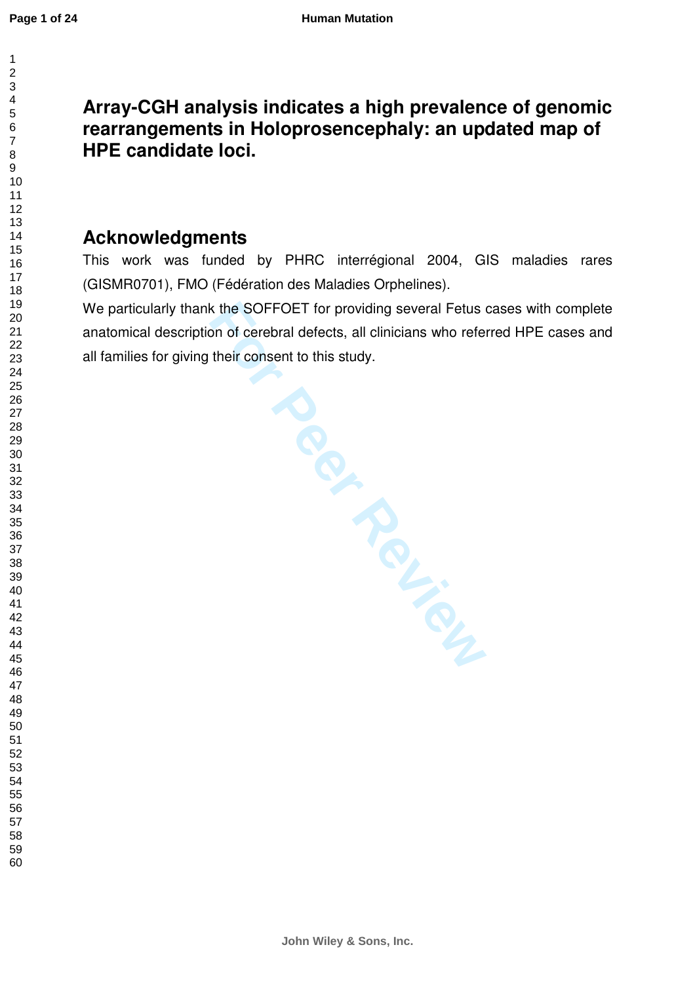$\mathbf{1}$ 

# **Array-CGH analysis indicates a high prevalence of genomic rearrangements in Holoprosencephaly: an updated map of HPE candidate loci.**

# **Acknowledgments**

This work was funded by PHRC interrégional 2004, GIS maladies rares (GISMR0701), FMO (Fédération des Maladies Orphelines).

We particularly thank the SOFFOET for providing several Fetus cases with complete anatomical description of cerebral defects, all clinicians who referred HPE cases and all families for giving their consent to this study.

**For Periodicing**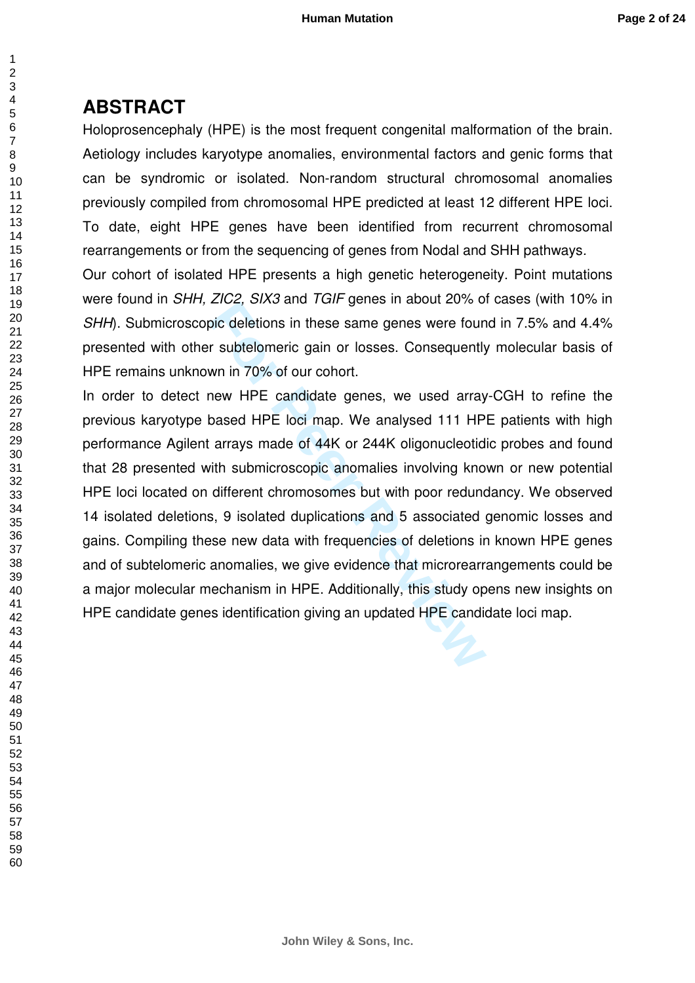### **ABSTRACT**

Holoprosencephaly (HPE) is the most frequent congenital malformation of the brain. Aetiology includes karyotype anomalies, environmental factors and genic forms that can be syndromic or isolated. Non-random structural chromosomal anomalies previously compiled from chromosomal HPE predicted at least 12 different HPE loci. To date, eight HPE genes have been identified from recurrent chromosomal rearrangements or from the sequencing of genes from Nodal and SHH pathways .

Our cohort of isolated HPE presents a high genetic heterogeneity. Point mutations were found in SHH, ZIC2, SIX3 and TGIF genes in about 20% of cases (with 10% in SHH). Submicroscopic deletions in these same genes were found in 7.5% and 4.4% presented with other subtelomeric gain or losses. Consequently molecular basis of HPE remains unknown in 70% of our cohort.

EVOE, ONO and Your genes in about 20% of<br>bic deletions in these same genes were found<br>in a match of the same genes were found<br>when in 70% of our cohort.<br>hew HPE candidate genes, we used array<br>based HPE loci map. We analyse In order to detect new HPE candidate genes, we used array-CGH to refine the previous karyotype based HPE loci map. We analysed 111 HPE patients with high performance Agilent arrays made of 44K or 244K oligonucleotidic probes and found that 28 presented with submicroscopic anomalies involving known or new potential HPE loci located on different chromosomes but with poor redundancy. We observed 14 isolated deletions, 9 isolated duplications and 5 associated genomic losses and gains. Compiling these new data with frequencies of deletions in known HPE genes and of subtelomeric anomalies, we give evidence that microrearrangements could be a major molecular mechanism in HPE. Additionally, this study opens new insights on HPE candidate genes identification giving an updated HPE candidate loci map.

 $\mathbf{1}$  $\overline{2}$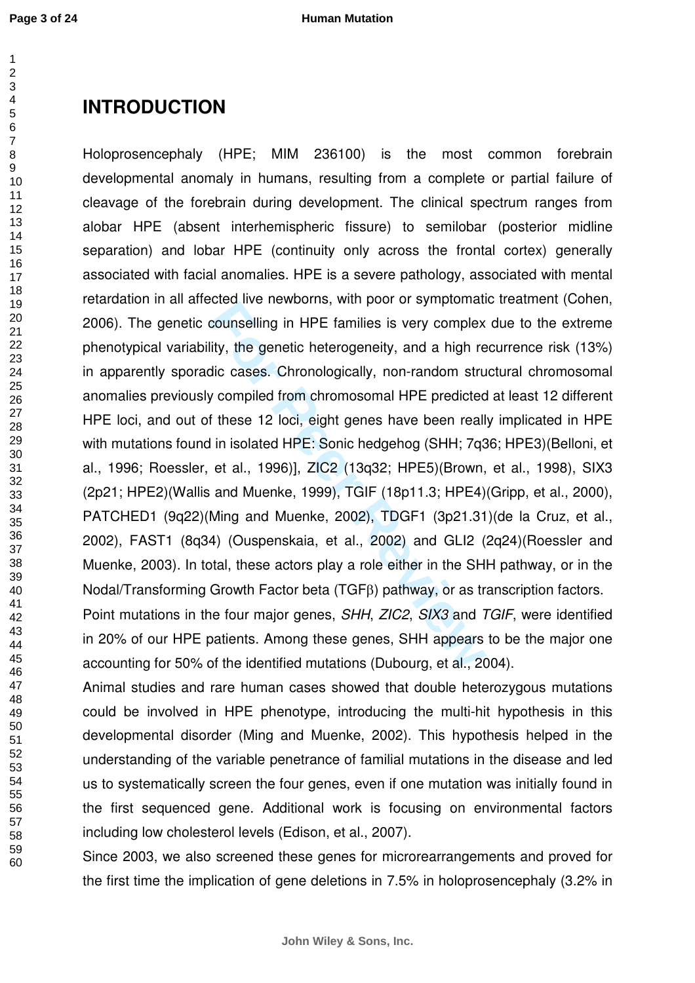# **INTRODUCTION**

counselling in HPE families is very complex<br>ity, the genetic heterogeneity, and a high redic cases. Chronologically, non-random struct<br>of these 12 loci, eight genes have been reall<br>in isolated HPE: Sonic hedgehog (SHH; 7q<sup></sup> Holoprosencephaly (HPE; MIM 236100) is the most common forebrain developmental anomaly in humans, resulting from a complete or partial failure of cleavage of the forebrain during development. The clinical spectrum ranges from alobar HPE (absent interhemispheric fissure) to semilobar (posterior midline separation) and lobar HPE (continuity only across the frontal cortex) generally associated with facial anomalies. HPE is a severe pathology, associated with mental retardation in all affected live newborns, with poor or symptomatic treatment (Cohen, 2006). The genetic counselling in HPE families is very complex due to the extreme phenotypical variability, the genetic heterogeneity, and a high recurrence risk (13%) in apparently sporadic cases. Chronologically, non-random structural chromosomal anomalies previously compiled from chromosomal HPE predicted at least 12 different HPE loci, and out of these 12 loci, eight genes have been really implicated in HPE with mutations found in isolated HPE: Sonic hedgehog (SHH; 7q36; HPE3)(Belloni, et al., 1996; Roessler, et al., 1996)], ZIC2 (13q32; HPE5)(Brown, et al., 1998), SIX3 (2p21; HPE2)(Wallis and Muenke, 1999), TGIF (18p11.3; HPE4)(Gripp, et al., 2000), PATCHED1 (9q22)(Ming and Muenke, 2002), TDGF1 (3p21.31)(de la Cruz, et al., 2002), FAST1 (8q34) (Ouspenskaia, et al., 2002) and GLI2 (2q24)(Roessler and Muenke, 2003). In total, these actors play a role either in the SHH pathway, or in the Nodal/Transforming Growth Factor beta (TGF β) pathway, or as transcription factors.

Point mutations in the four major genes, SHH, ZIC2, SIX3 and TGIF, were identified in 20% of our HPE patients. Among these genes, SHH appears to be the major one accounting for 50% of the identified mutations (Dubourg, et al., 2004).

Animal studies and rare human cases showed that double heterozygous mutations could be involved in HPE phenotype, introducing the multi-hit hypothesis in this developmental disorder (Ming and Muenke, 2002). This hypothesis helped in the understanding of the variable penetrance of familial mutations in the disease and led us to systematically screen the four genes, even if one mutation was initially found in the first sequenced gene. Additional work is focusing on environmental factors including low cholesterol levels (Edison, et al., 2007).

Since 2003, we also screened these genes for microrearrangements and proved for the first time the implication of gene deletions in 7.5% in holoprosencephaly (3.2% in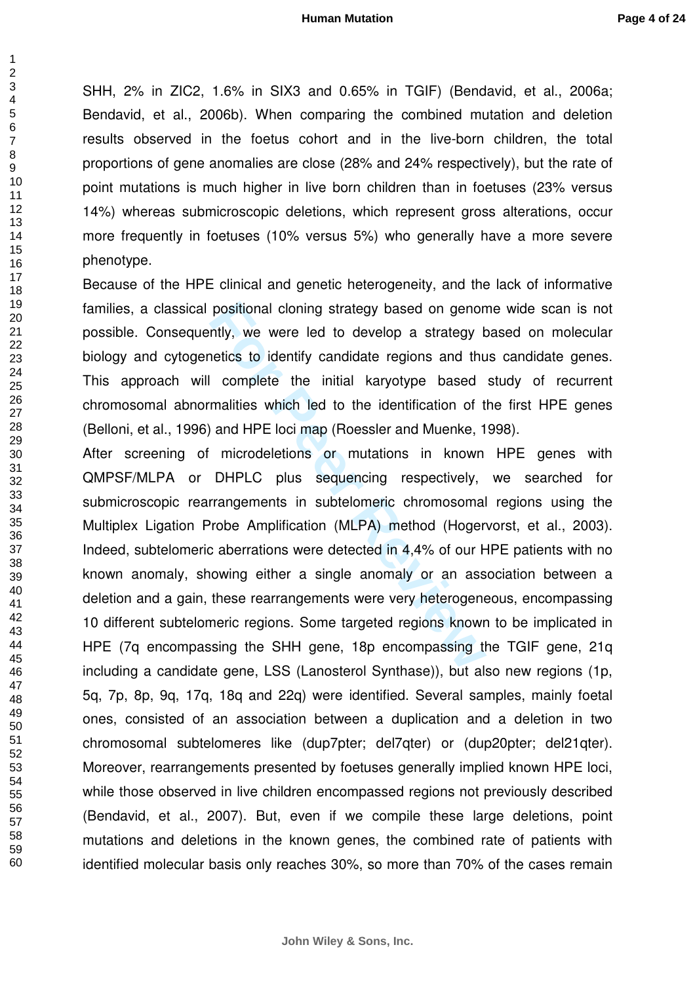SHH, 2% in ZIC2, 1.6% in SIX3 and 0.65% in TGIF) (Bendavid, et al., 2006a; Bendavid, et al., 2006b). When comparing the combined mutation and deletion results observed in the foetus cohort and in the live-born children, the total proportions of gene anomalies are close (28% and 24% respectively), but the rate of point mutations is much higher in live born children than in foetuses (23% versus 14%) whereas submicroscopic deletions, which represent gross alterations, occur more frequently in foetuses (10% versus 5%) who generally have a more severe phenotype.

Because of the HPE clinical and genetic heterogeneity, and the lack of informative families, a classical positional cloning strategy based on genome wide scan is not possible. Consequently, we were led to develop a strategy based on molecular biology and cytogenetics to identify candidate regions and thus candidate genes. This approach will complete the initial karyotype based study of recurrent chromosomal abnormalities which led to the identification of the first HPE genes (Belloni, et al., 1996) and HPE loci map (Roessler and Muenke, 1998).

positional cloning strategy based on genom<br>
Intly, we were led to develop a strategy b<br>
Interior of the initial karyotype based<br>
malities which led to the identification of t<br>
and HPE loci map (Roessler and Muenke, 1<br>
micr After screening of microdeletions or mutations in known HPE genes with QMPSF/MLPA or DHPLC plus sequencing respectively, we searched for submicroscopic rearrangements in subtelomeric chromosomal regions using the Multiplex Ligation Probe Amplification (MLPA) method (Hogervorst, et al., 2003). Indeed, subtelomeric aberrations were detected in 4,4% of our HPE patients with no known anomaly, showing either a single anomaly or an association between a deletion and a gain, these rearrangements were very heterogeneous, encompassing 10 different subtelomeric regions. Some targeted regions known to be implicated in HPE (7q encompassing the SHH gene, 18p encompassing the TGIF gene, 21q including a candidate gene, LSS (Lanosterol Synthase)), but also new regions (1p, 5q, 7p, 8p, 9q, 17q, 18q and 22q) were identified. Several samples, mainly foetal ones, consisted of an association between a duplication and a deletion in two chromosomal subtelomeres like (dup7pter; del7qter) or (dup20pter; del21qter). Moreover, rearrangements presented by foetuses generally implied known HPE loci, while those observed in live children encompassed regions not previously described (Bendavid, et al., 2007). But, even if we compile these large deletions, point mutations and deletions in the known genes, the combined rate of patients with identified molecular basis only reaches 30%, so more than 70% of the cases remain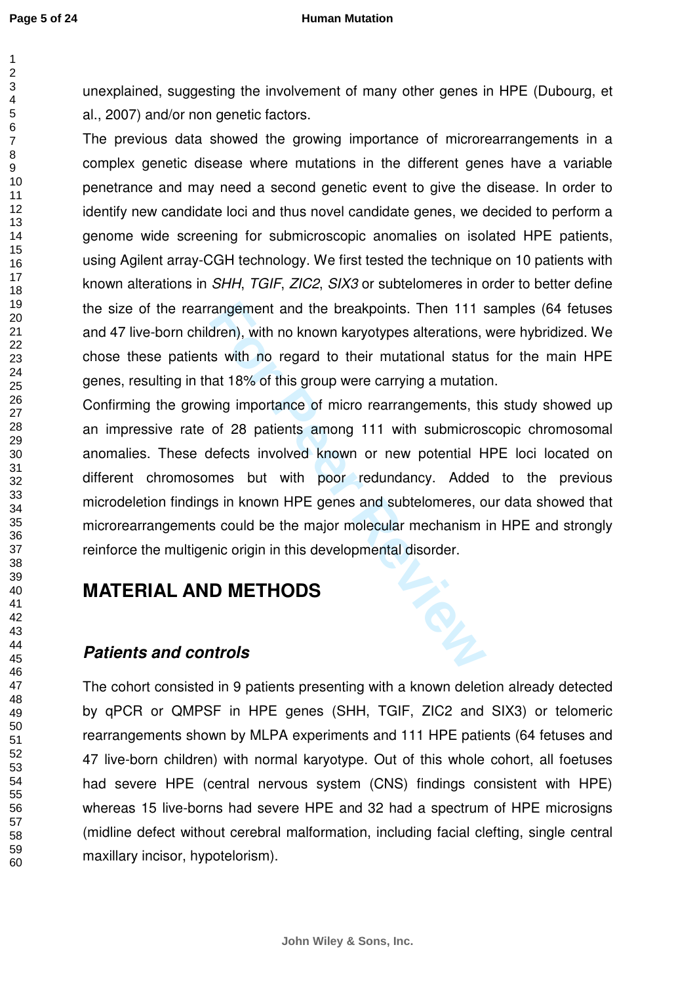$\overline{1}$ 

#### **Human Mutation**

unexplained, suggesting the involvement of many other genes in HPE (Dubourg, et al., 2007) and/or non genetic factors.

The previous data showed the growing importance of microrearrangements in a complex genetic disease where mutations in the different genes have a variable penetrance and may need a second genetic event to give the disease. In order to identify new candidate loci and thus novel candidate genes, we decided to perform a genome wide screening for submicroscopic anomalies on isolated HPE patients, using Agilent array-CGH technology. We first tested the technique on 10 patients with known alterations in SHH, TGIF, ZIC2, SIX3 or subtelomeres in order to better define the size of the rearrangement and the breakpoints. Then 111 samples (64 fetuses and 47 live-born children), with no known karyotypes alterations, were hybridized. We chose these patients with no regard to their mutational status for the main HPE genes, resulting in that 18% of this group were carrying a mutation.

For Properties and the breakpoints. Then 111 step, with no known karyotypes alterations, with no regard to their mutational status that 18% of this group were carrying a mutational status that 18% of this group were carryi Confirming the growing importance of micro rearrangements, this study showed up an impressive rate of 28 patients among 111 with submicroscopic chromosomal anomalies. These defects involved known or new potential HPE loci located on different chromosomes but with poor redundancy. Added to the previous microdeletion findings in known HPE genes and subtelomeres, our data showed that microrearrangements could be the major molecular mechanism in HPE and strongly reinforce the multigenic origin in this developmental disorder.

## **MATERIAL AND METHODS**

### **Patients and controls**

The cohort consisted in 9 patients presenting with a known deletion already detected by qPCR or QMPSF in HPE genes (SHH, TGIF, ZIC2 and SIX3) or telomeric rearrangements shown by MLPA experiments and 111 HPE patients (64 fetuses and 47 live-born children) with normal karyotype. Out of this whole cohort, all foetuses had severe HPE (central nervous system (CNS) findings consistent with HPE) whereas 15 live-borns had severe HPE and 32 had a spectrum of HPE microsigns (midline defect without cerebral malformation, including facial clefting, single central maxillary incisor, hypotelorism).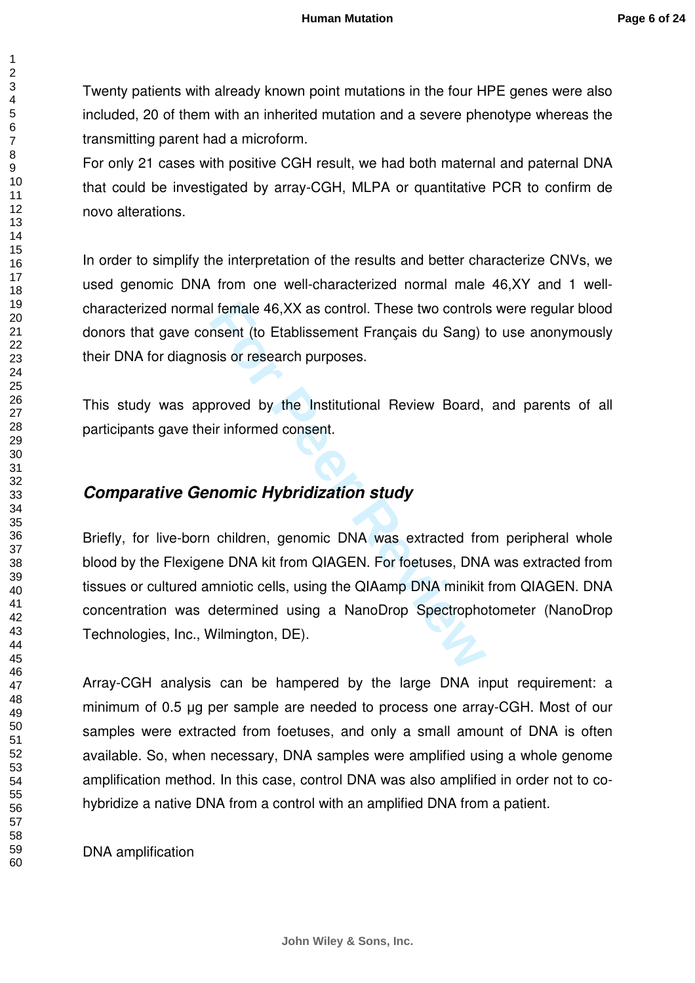Twenty patients with already known point mutations in the four HPE genes were also included, 20 of them with an inherited mutation and a severe phenotype whereas the transmitting parent had a microform.

For only 21 cases with positive CGH result, we had both maternal and paternal DNA that could be investigated by array-CGH, MLPA or quantitative PCR to confirm de novo alterations.

In order to simplify the interpretation of the results and better characterize CNVs, we used genomic DNA from one well-characterized normal male 46,XY and 1 wellcharacterized normal female 46,XX as control. These two controls were regular blood donors that gave consent (to Etablissement Français du Sang) to use anonymously their DNA for diagnosis or research purposes.

This study was approved by the Institutional Review Board, and parents of all participants gave their informed consent.

### **Comparative Genomic Hybridization study**

I female 46,XX as control. These two control:<br>
nsent (to Etablissement Français du Sang)<br>
sis or research purposes.<br>
proved by the Institutional Review Board,<br>
ir informed consent.<br> **nomic Hybridization study**<br>
children, g Briefly, for live-born children, genomic DNA was extracted from peripheral whole blood by the Flexigene DNA kit from QIAGEN. For foetuses, DNA was extracted from tissues or cultured amniotic cells, using the QIAamp DNA minikit from QIAGEN. DNA concentration was determined using a NanoDrop Spectrophotometer (NanoDrop Technologies, Inc., Wilmington, DE).

Array-CGH analysis can be hampered by the large DNA input requirement: a minimum of 0.5 µg per sample are needed to process one array-CGH. Most of our samples were extracted from foetuses, and only a small amount of DNA is often available. So, when necessary, DNA samples were amplified using a whole genome amplification method. In this case, control DNA was also amplified in order not to cohybridize a native DNA from a control with an amplified DNA from a patient.

DNA amplification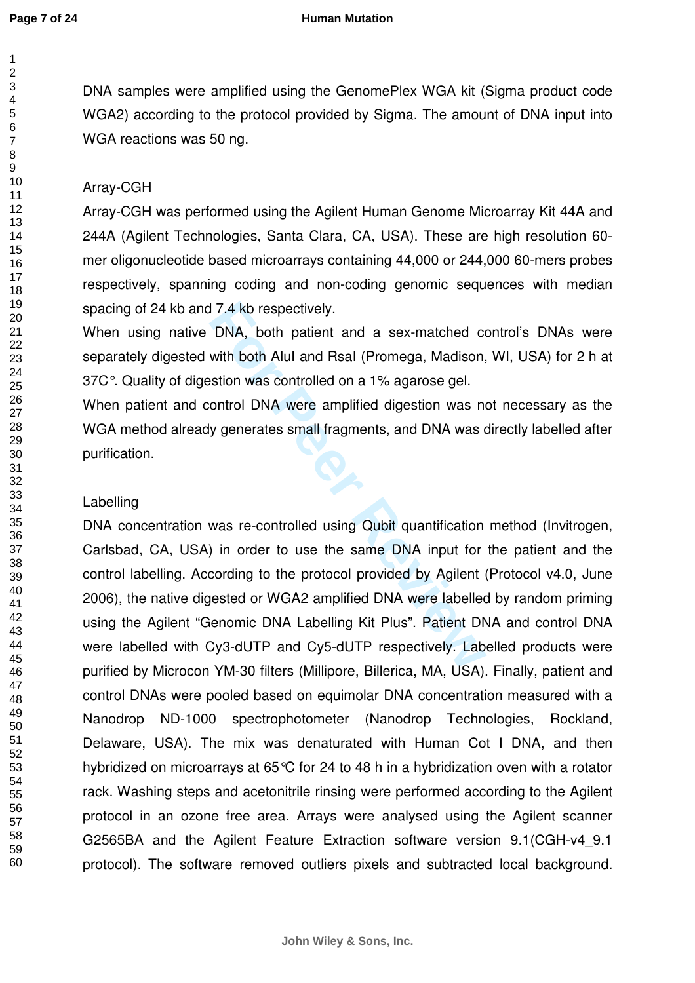123456789

 $\mathbf{1}$  $\overline{2}$  $\overline{3}$  $\overline{4}$ 5 6  $\overline{7}$ 8 9

#### **Human Mutation**

DNA samples were amplified using the GenomePlex WGA kit (Sigma product code WGA2) according to the protocol provided by Sigma. The amount of DNA input into WGA reactions was 50 ng.

#### Array-CGH

Array-CGH was performed using the Agilent Human Genome Microarray Kit 44A and 244A (Agilent Technologies, Santa Clara, CA, USA). These are high resolution 60 mer oligonucleotide based microarrays containing 44,000 or 244,000 60-mers probes respectively, spanning coding and non-coding genomic sequences with median spacing of 24 kb and 7.4 kb respectively.

When using native DNA, both patient and a sex-matched control's DNAs were separately digested with both AluI and RsaI (Promega, Madison, WI, USA) for 2 h at 37C°. Quality of digestion was controlled on a 1% agarose gel.

When patient and control DNA were amplified digestion was not necessary as the WGA method already generates small fragments, and DNA was directly labelled after purification.

#### Labelling

For Propertively.<br>
The Promega, Madison,<br>
with both Alul and Rsal (Promega, Madison,<br>
stion was controlled on a 1% agarose gel.<br>
ontrol DNA were amplified digestion was no<br>
y generates small fragments, and DNA was of<br>
y ge DNA concentration was re-controlled using Qubit quantification method (Invitrogen, Carlsbad, CA, USA) in order to use the same DNA input for the patient and the control labelling. According to the protocol provided by Agilent (Protocol v4.0, June 2006), the native digested or WGA2 amplified DNA were labelled by random priming using the Agilent "Genomic DNA Labelling Kit Plus". Patient DNA and control DNA were labelled with Cy3-dUTP and Cy5-dUTP respectively. Labelled products were purified by Microcon YM-30 filters (Millipore, Billerica, MA, USA). Finally, patient and control DNAs were pooled based on equimolar DNA concentration measured with a Nanodrop ND-1000 spectrophotometer (Nanodrop Technologies, Rockland, Delaware, USA). The mix was denaturated with Human Cot I DNA, and then hybridized on microarrays at 65°C for 24 to 48 h in a hybridization oven with a rotator rack. Washing steps and acetonitrile rinsing were performed according to the Agilent protocol in an ozone free area. Arrays were analysed using the Agilent scanner G2565BA and the Agilent Feature Extraction software version 9.1(CGH-v4\_9.1 protocol). The software removed outliers pixels and subtracted local background.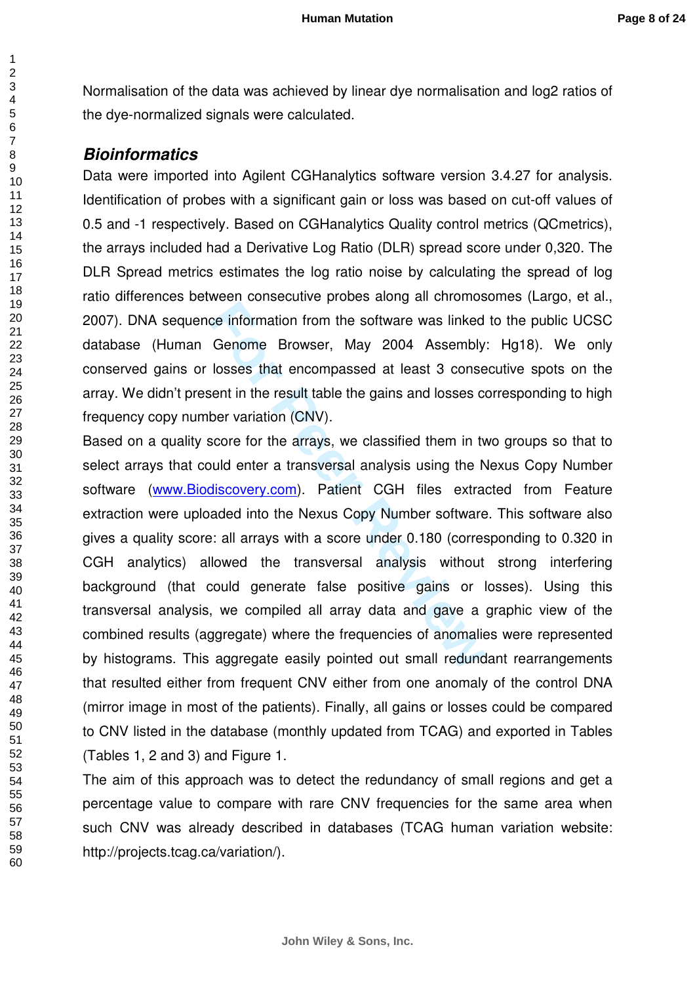Normalisation of the data was achieved by linear dye normalisation and log2 ratios of the dye-normalized signals were calculated.

#### **Bioinformatics**

Data were imported into Agilent CGHanalytics software version 3.4.27 for analysis. Identification of probes with a significant gain or loss was based on cut-off values of 0.5 and -1 respectively. Based on CGHanalytics Quality control metrics (QCmetrics), the arrays included had a Derivative Log Ratio (DLR) spread score under 0,320. The DLR Spread metrics estimates the log ratio noise by calculating the spread of log ratio differences between consecutive probes along all chromosomes (Largo, et al., 2007). DNA sequence information from the software was linked to the public UCSC database (Human Genome Browser, May 2004 Assembly: Hg18). We only conserved gains or losses that encompassed at least 3 consecutive spots on the array. We didn't present in the result table the gains and losses corresponding to high frequency copy number variation (CNV).

restructure proces and gate and gate information from the software was linked<br>Genome Browser, May 2004 Assembly<br>losses that encompassed at least 3 conse<br>sent in the result table the gains and losses co<br>ber variation (CNV). Based on a quality score for the arrays, we classified them in two groups so that to select arrays that could enter a transversal analysis using the Nexus Copy Number software [\(www.Biodiscovery.com](http://www.biodiscovery.com/)). Patient CGH files extracted from Feature extraction were uploaded into the Nexus Copy Number software. This software also gives a quality score: all arrays with a score under 0.180 (corresponding to 0.320 in CGH analytics) allowed the transversal analysis without strong interfering background (that could generate false positive gains or losses). Using this transversal analysis, we compiled all array data and gave a graphic view of the combined results (aggregate) where the frequencies of anomalies were represented by histograms. This aggregate easily pointed out small redundant rearrangements that resulted either from frequent CNV either from one anomaly of the control DNA (mirror image in most of the patients). Finally, all gains or losses could be compared to CNV listed in the database (monthly updated from TCAG) and exported in Tables (Tables 1, 2 and 3) and Figure 1.

The aim of this approach was to detect the redundancy of small regions and get a percentage value to compare with rare CNV frequencies for the same area when such CNV was already described in databases (TCAG human variation website: http://projects.tcag.ca/variation/).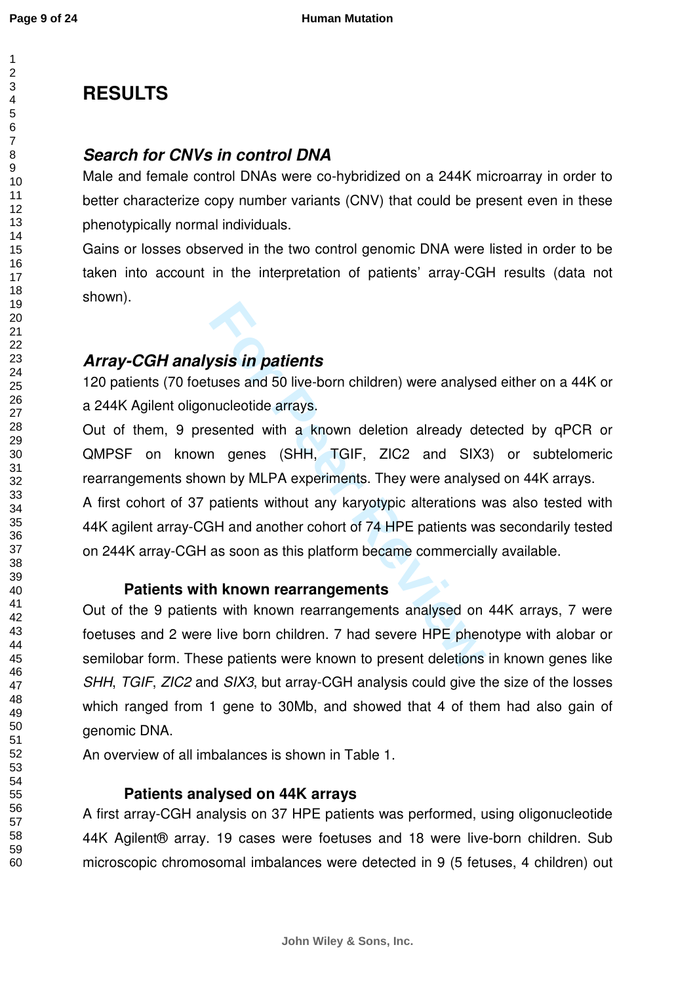**Page 9 of 24**

 $\overline{1}$  $\overline{2}$ 

# **RESULTS**

### **Search for CNVs in control DNA**

Male and female control DNAs were co-hybridized on a 244K microarray in order to better characterize copy number variants (CNV) that could be present even in these phenotypically normal individuals.

Gains or losses observed in the two control genomic DNA were listed in order to be taken into account in the interpretation of patients' array-CGH results (data not shown).

## **Array-CGH analysis in patients**

120 patients (70 foetuses and 50 live-born children) were analysed either on a 44K or a 244K Agilent oligonucleotide arrays.

Out of them, 9 presented with a known deletion already detected by qPCR or QMPSF on known genes (SHH, TGIF, ZIC2 and SIX3) or subtelomeric rearrangements shown by MLPA experiments. They were analysed on 44K arrays.

A first cohort of 37 patients without any karyotypic alterations was also tested with 44K agilent array-CGH and another cohort of 74 HPE patients was secondarily tested on 244K array-CGH as soon as this platform became commercially available.

### **Patients with known rearrangements**

**Formally Solution:**<br> **Formally Solution:**<br> **Formally Solution:**<br> **Formally Solution:**<br> **Formally Solution:**<br> **Formally Solution:**<br> **Formally Solution:**<br> **Formally Solution:**<br> **Formally Solution:**<br> **Formally Solution:**<br> **F** Out of the 9 patients with known rearrangements analysed on 44K arrays, 7 were foetuses and 2 were live born children. 7 had severe HPE phenotype with alobar or semilobar form. These patients were known to present deletions in known genes like SHH, TGIF, ZIC2 and SIX3, but array-CGH analysis could give the size of the losses which ranged from 1 gene to 30Mb, and showed that 4 of them had also gain of genomic DNA.

An overview of all imbalances is shown in Table 1.

### **Patients analysed on 44K arrays**

A first array-CGH analysis on 37 HPE patients was performed, using oligonucleotide 44K Agilent® array. 19 cases were foetuses and 18 were live-born children. Sub microscopic chromosomal imbalances were detected in 9 (5 fetuses, 4 children) out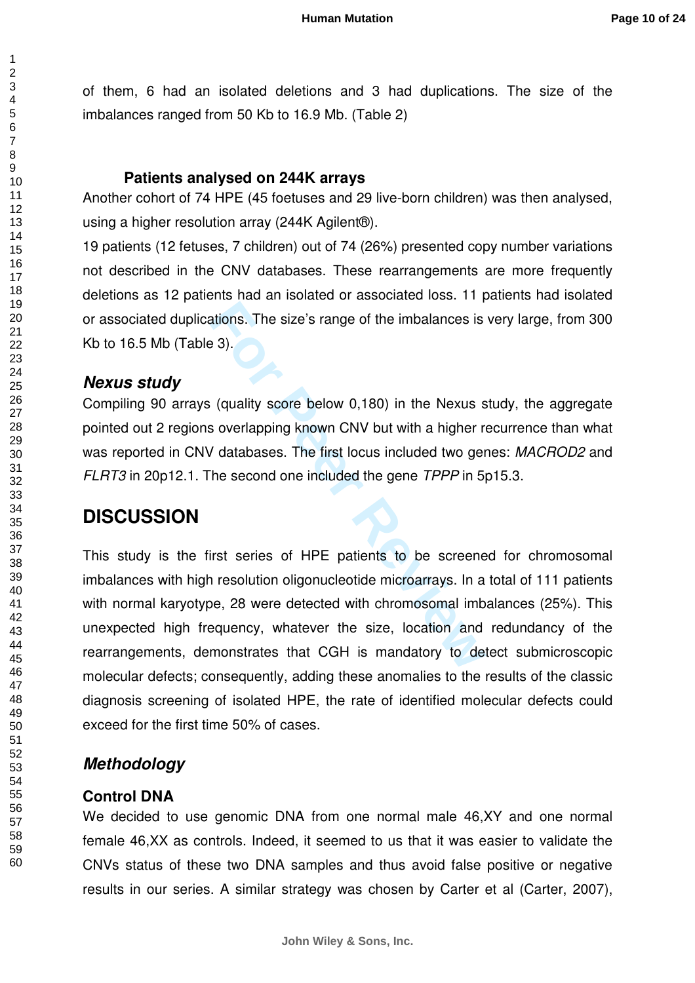of them, 6 had an isolated deletions and 3 had duplications. The size of the imbalances ranged from 50 Kb to 16.9 Mb. (Table 2)

#### **Patients analysed on 244K arrays**

Another cohort of 74 HPE (45 foetuses and 29 live-born children) was then analysed, using a higher resolution array (244K Agilent®).

19 patients (12 fetuses, 7 children) out of 74 (26%) presented copy number variations not described in the CNV databases. These rearrangements are more frequently deletions as 12 patients had an isolated or associated loss. 11 patients had isolated or associated duplications. The size's range of the imbalances is very large, from 300 Kb to 16.5 Mb (Table 3).

#### **Nexus study**

Compiling 90 arrays (quality score below 0,180) in the Nexus study, the aggregate pointed out 2 regions overlapping known CNV but with a higher recurrence than what was reported in CNV databases. The first locus included two genes: MACROD2 and FLRT3 in 20p12.1. The second one included the gene TPPP in 5p15.3.

### **DISCUSSION**

**For Perry 2012 12:50 Fee Excelse Set Algents**<br> **For Peer Section** 2013<br> **For Peer Section 2013**<br> **For Peer Second one included the gene** *TPPP* **in 5<br>
<b>For Second one included the gene** *TPPP* in 5<br> **For Second one included** This study is the first series of HPE patients to be screened for chromosomal imbalances with high resolution oligonucleotide microarrays. In a total of 111 patients with normal karyotype, 28 were detected with chromosomal imbalances (25%). This unexpected high frequency, whatever the size, location and redundancy of the rearrangements, demonstrates that CGH is mandatory to detect submicroscopic molecular defects; consequently, adding these anomalies to the results of the classic diagnosis screening of isolated HPE, the rate of identified molecular defects could exceed for the first time 50% of cases.

### **Methodology**

#### **Control DNA**

We decided to use genomic DNA from one normal male 46,XY and one normal female 46,XX as controls. Indeed, it seemed to us that it was easier to validate the CNVs status of these two DNA samples and thus avoid false positive or negative results in our series. A similar strategy was chosen by Carter et al (Carter, 2007),

 $\mathbf{1}$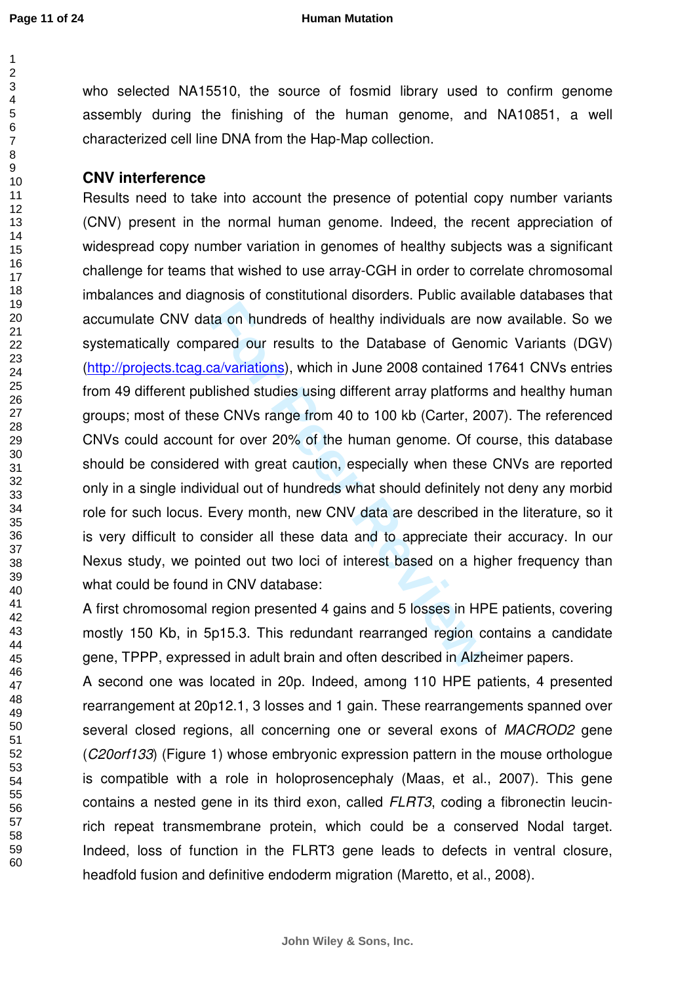$\overline{1}$  $\overline{2}$ 

#### **Human Mutation**

who selected NA15510, the source of fosmid library used to confirm genome assembly during the finishing of the human genome, and NA10851, a well characterized cell line DNA from the Hap-Map collection.

#### **CNV interference**

is a on hundreds of healthy individuals are no<br>ared our results to the Database of Geno<br>ca/variations), which in June 2008 contained<br>blished studies using different array platforms<br>se CNVs range from 40 to 100 kb (Carter, Results need to take into account the presence of potential copy number variants (CNV) present in the normal human genome. Indeed, the recent appreciation of widespread copy number variation in genomes of healthy subjects was a significant challenge for teams that wished to use array-CGH in order to correlate chromosomal imbalances and diagnosis of constitutional disorders. Public available databases that accumulate CNV data on hundreds of healthy individuals are now available. So we systematically compared our results to the Database of Genomic Variants (DGV) [\(http://projects.tcag.ca/variations](http://projects.tcag.ca/variations)), which in June 2008 contained 17641 CNVs entries from 49 different published studies using different array platforms and healthy human groups; most of these CNVs range from 40 to 100 kb (Carter, 2007). The referenced CNVs could account for over 20% of the human genome. Of course, this database should be considered with great caution, especially when these CNVs are reported only in a single individual out of hundreds what should definitely not deny any morbid role for such locus. Every month, new CNV data are described in the literature, so it is very difficult to consider all these data and to appreciate their accuracy. In our Nexus study, we pointed out two loci of interest based on a higher frequency than what could be found in CNV database:

A first chromosomal region presented 4 gains and 5 losses in HPE patients, covering mostly 150 Kb, in 5p15.3. This redundant rearranged region contains a candidate gene, TPPP, expressed in adult brain and often described in Alzheimer papers.

A second one was located in 20p. Indeed, among 110 HPE patients, 4 presented rearrangement at 20p12.1, 3 losses and 1 gain. These rearrangements spanned over several closed regions, all concerning one or several exons of *MACROD2* gene (C20orf133) (Figure 1) whose embryonic expression pattern in the mouse orthologue is compatible with a role in holoprosencephaly (Maas, et al., 2007). This gene contains a nested gene in its third exon, called FLRT3, coding a fibronectin leucinrich repeat transmembrane protein, which could be a conserved Nodal target. Indeed, loss of function in the FLRT3 gene leads to defects in ventral closure, headfold fusion and definitive endoderm migration (Maretto, et al., 2008).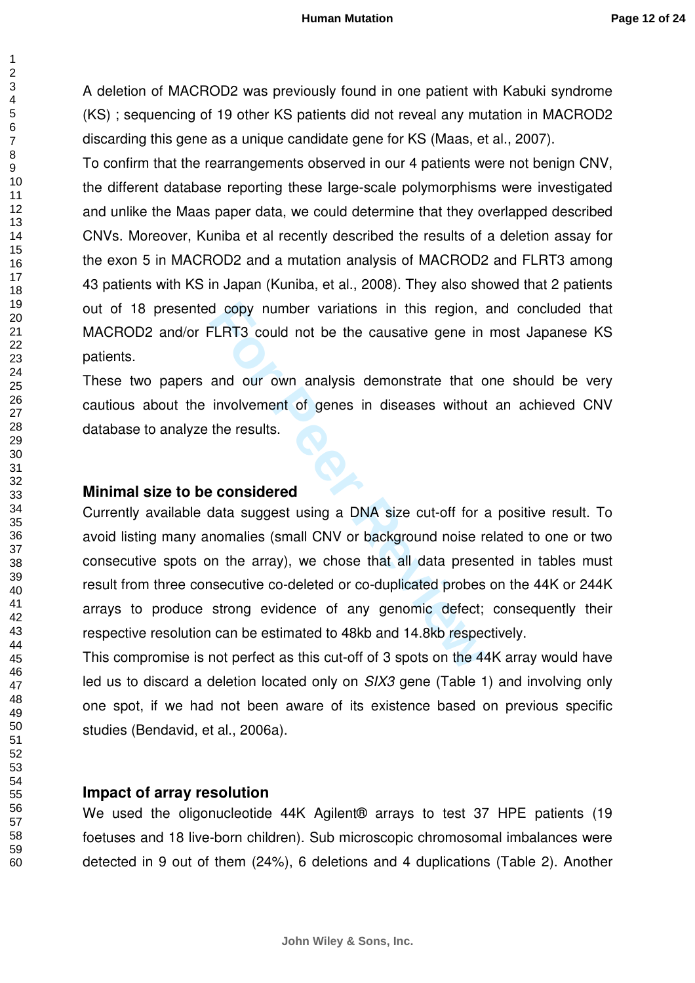A deletion of MACROD2 was previously found in one patient with Kabuki syndrome (KS) ; sequencing of 19 other KS patients did not reveal any mutation in MACROD2 discarding this gene as a unique candidate gene for KS (Maas, et al., 2007).

To confirm that the rearrangements observed in our 4 patients were not benign CNV, the different database reporting these large-scale polymorphisms were investigated and unlike the Maas paper data, we could determine that they overlapped described CNVs. Moreover, Kuniba et al recently described the results of a deletion assay for the exon 5 in MACROD2 and a mutation analysis of MACROD2 and FLRT3 among 43 patients with KS in Japan (Kuniba, et al., 2008). They also showed that 2 patients out of 18 presented copy number variations in this region, and concluded that MACROD2 and/or FLRT3 could not be the causative gene in most Japanese KS patients.

These two papers and our own analysis demonstrate that one should be very cautious about the involvement of genes in diseases without an achieved CNV database to analyze the results.

#### **Minimal size to be considered**

d copy number variations in this region,<br> **FLRT3** could not be the causative gene in<br>
and our own analysis demonstrate that c<br>
involvement of genes in diseases without<br>
the results.<br> **example considered**<br>
data suggest usin Currently available data suggest using a DNA size cut-off for a positive result. To avoid listing many anomalies (small CNV or background noise related to one or two consecutive spots on the array), we chose that all data presented in tables must result from three consecutive co-deleted or co-duplicated probes on the 44K or 244K arrays to produce strong evidence of any genomic defect; consequently their respective resolution can be estimated to 48kb and 14.8kb respectively.

This compromise is not perfect as this cut-off of 3 spots on the 44K array would have led us to discard a deletion located only on SIX3 gene (Table 1) and involving only one spot, if we had not been aware of its existence based on previous specific studies (Bendavid, et al., 2006a).

#### **Impact of array resolution**

We used the oligonucleotide 44K Agilent® arrays to test 37 HPE patients (19 foetuses and 18 live-born children). Sub microscopic chromosomal imbalances were detected in 9 out of them (24%), 6 deletions and 4 duplications (Table 2). Another

 $\mathbf{1}$  $\overline{2}$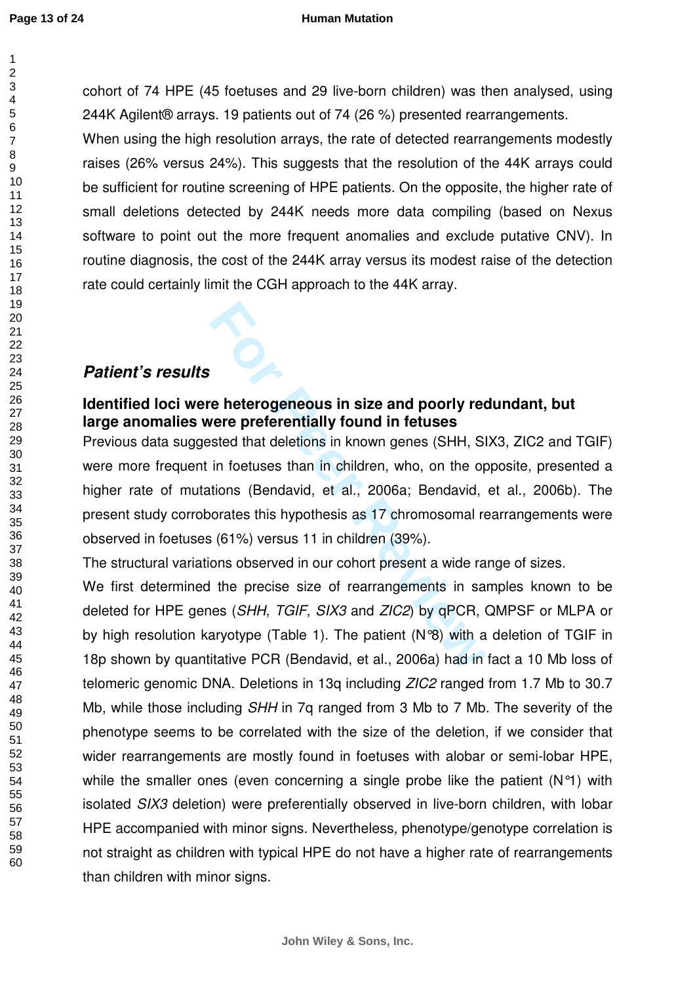123456789

 $\overline{1}$  $\overline{2}$  $\overline{3}$  $\overline{4}$ 5 6  $\overline{7}$ 8  $\mathbf{Q}$ 

cohort of 74 HPE (45 foetuses and 29 live-born children) was then analysed, using 244K Agilent® arrays. 19 patients out of 74 (26 %) presented rearrangements.

When using the high resolution arrays, the rate of detected rearrangements modestly raises (26% versus 24%). This suggests that the resolution of the 44K arrays could be sufficient for routine screening of HPE patients. On the opposite, the higher rate of small deletions detected by 244K needs more data compiling (based on Nexus software to point out the more frequent anomalies and exclude putative CNV). In routine diagnosis, the cost of the 244K array versus its modest raise of the detection rate could certainly limit the CGH approach to the 44K array.

### **Patient's results**

### **Identified loci were heterogeneous in size and poorly redundant, but large anomalies were preferentially found in fetuses**

**For Proper Preferentially found in fetuses**<br> **For Preferentially found in fetuses**<br> **For Preferentially found in fetuses**<br> **For Preferentially found in fetuses**<br> **For Formal** in children, who, on the options<br> **For Prefere** Previous data suggested that deletions in known genes (SHH, SIX3, ZIC2 and TGIF) were more frequent in foetuses than in children, who, on the opposite, presented a higher rate of mutations (Bendavid, et al., 2006a; Bendavid, et al., 2006b). The present study corroborates this hypothesis as 17 chromosomal rearrangements were observed in foetuses (61%) versus 11 in children (39%).

The structural variations observed in our cohort present a wide range of sizes.

We first determined the precise size of rearrangements in samples known to be deleted for HPE genes (SHH, TGIF, SIX3 and ZIC2) by qPCR, QMPSF or MLPA or by high resolution karyotype (Table 1). The patient (N°8) with a deletion of TGIF in 18p shown by quantitative PCR (Bendavid, et al., 2006a) had in fact a 10 Mb loss of telomeric genomic DNA. Deletions in 13g including *ZIC2* ranged from 1.7 Mb to 30.7 Mb, while those including *SHH* in 7q ranged from 3 Mb to 7 Mb. The severity of the phenotype seems to be correlated with the size of the deletion, if we consider that wider rearrangements are mostly found in foetuses with alobar or semi-lobar HPE, while the smaller ones (even concerning a single probe like the patient  $(N<sup>o</sup>1)$  with isolated SIX3 deletion) were preferentially observed in live-born children, with lobar HPE accompanied with minor signs. Nevertheless, phenotype/genotype correlation is not straight as children with typical HPE do not have a higher rate of rearrangements than children with minor signs.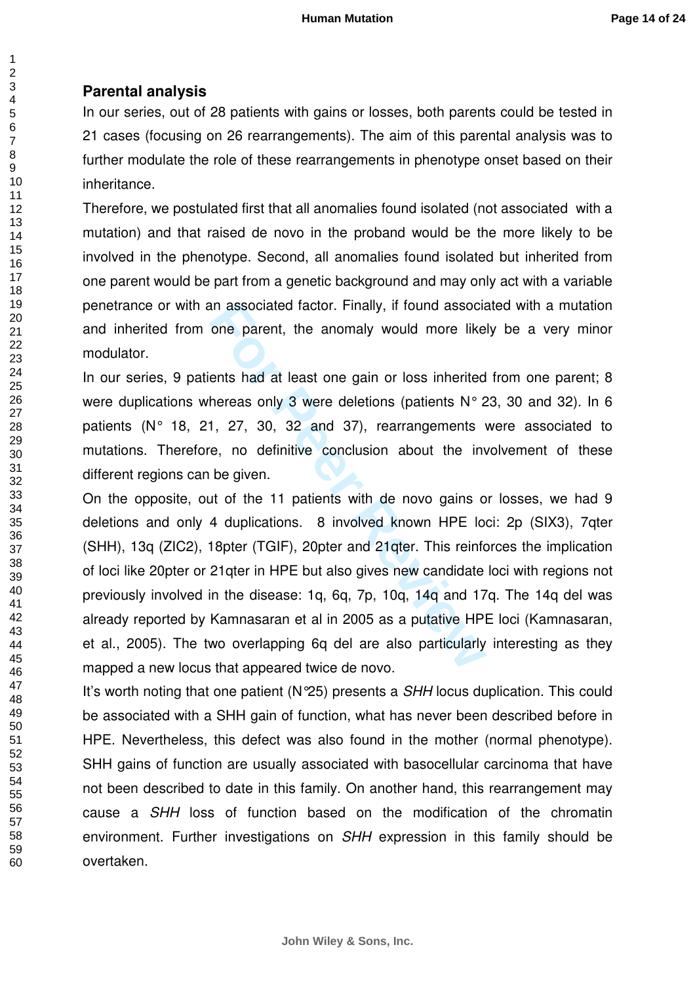### **Parental analysis**

In our series, out of 28 patients with gains or losses, both parents could be tested in 21 cases (focusing on 26 rearrangements). The aim of this parental analysis was to further modulate the role of these rearrangements in phenotype onset based on their inheritance.

Therefore, we postulated first that all anomalies found isolated (not associated with a mutation) and that raised de novo in the proband would be the more likely to be involved in the phenotype. Second, all anomalies found isolated but inherited from one parent would be part from a genetic background and may only act with a variable penetrance or with an associated factor. Finally, if found associated with a mutation and inherited from one parent, the anomaly would more likely be a very minor modulator.

In our series, 9 patients had at least one gain or loss inherited from one parent; 8 were duplications whereas only 3 were deletions (patients N° 23, 30 and 32). In 6 patients (N° 18, 21, 27, 30, 32 and 37), rearrangements were associated to mutations. Therefore, no definitive conclusion about the involvement of these different regions can be given.

an associated factor. Finally, if found association one parent, the anomaly would more like<br>ents had at least one gain or loss inherited<br>hereas only 3 were deletions (patients N° 2<br>1, 27, 30, 32 and 37), rearrangements<br>ve, On the opposite, out of the 11 patients with de novo gains or losses, we had 9 deletions and only 4 duplications. 8 involved known HPE loci: 2p (SIX3), 7qter (SHH), 13q (ZIC2), 18pter (TGIF), 20pter and 21qter. This reinforces the implication of loci like 20pter or 21qter in HPE but also gives new candidate loci with regions not previously involved in the disease: 1q, 6q, 7p, 10q, 14q and 17q. The 14q del was already reported by Kamnasaran et al in 2005 as a putative HPE loci (Kamnasaran, et al., 2005). The two overlapping 6q del are also particularly interesting as they mapped a new locus that appeared twice de novo.

It's worth noting that one patient (N°25) presents a *SHH* locus duplication. This could be associated with a SHH gain of function, what has never been described before in HPE. Nevertheless, this defect was also found in the mother (normal phenotype). SHH gains of function are usually associated with basocellular carcinoma that have not been described to date in this family. On another hand, this rearrangement may cause a SHH loss of function based on the modification of the chromatin environment. Further investigations on SHH expression in this family should be overtaken.

 $\overline{1}$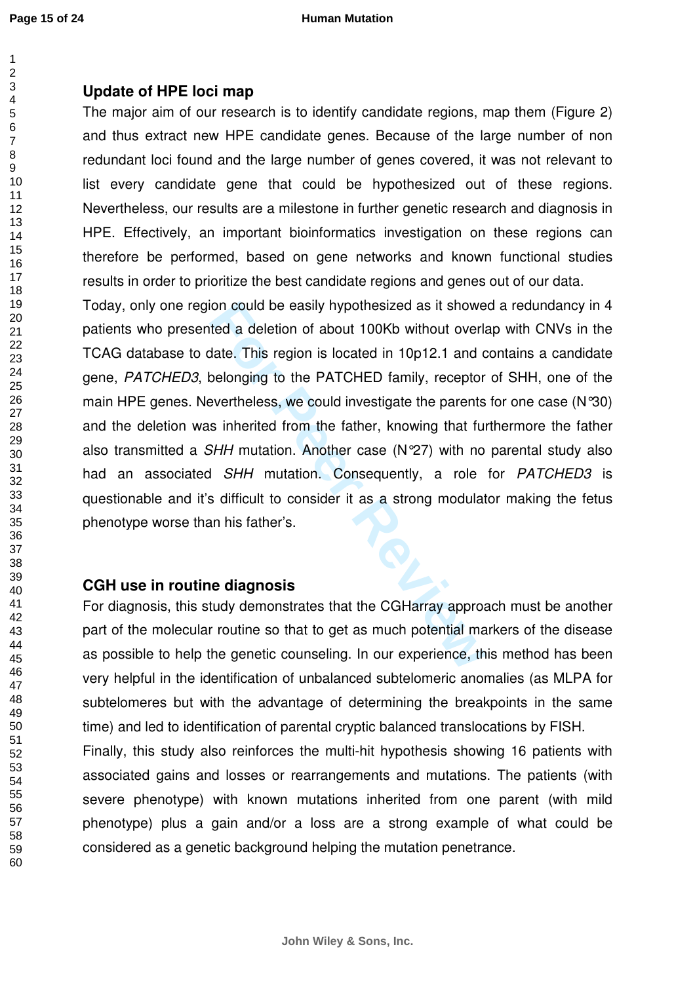### **Update of HPE loci map**

The major aim of our research is to identify candidate regions, map them (Figure 2) and thus extract new HPE candidate genes. Because of the large number of non redundant loci found and the large number of genes covered, it was not relevant to list every candidate gene that could be hypothesized out of these regions. Nevertheless, our results are a milestone in further genetic research and diagnosis in HPE. Effectively, an important bioinformatics investigation on these regions can therefore be performed, based on gene networks and known functional studies results in order to prioritize the best candidate regions and genes out of our data.

for could be easily hypothesized as it showerror ted a deletion of about 100Kb without overland that the This region is located in 10p12.1 and coelonging to the PATCHED family, receptor evertheless, we could investigate th Today, only one region could be easily hypothesized as it showed a redundancy in 4 patients who presented a deletion of about 100Kb without overlap with CNVs in the TCAG database to date. This region is located in 10p12.1 and contains a candidate gene, PATCHED3, belonging to the PATCHED family, receptor of SHH, one of the main HPE genes. Nevertheless, we could investigate the parents for one case (N°30) and the deletion was inherited from the father, knowing that furthermore the father also transmitted a SHH mutation. Another case (N°27) with no parental study also had an associated SHH mutation. Consequently, a role for PATCHED3 is questionable and it's difficult to consider it as a strong modulator making the fetus phenotype worse than his father's.

### **CGH use in routine diagnosis**

For diagnosis, this study demonstrates that the CGHarray approach must be another part of the molecular routine so that to get as much potential markers of the disease as possible to help the genetic counseling. In our experience, this method has been very helpful in the identification of unbalanced subtelomeric anomalies (as MLPA for subtelomeres but with the advantage of determining the breakpoints in the same time) and led to identification of parental cryptic balanced translocations by FISH. Finally, this study also reinforces the multi-hit hypothesis showing 16 patients with

associated gains and losses or rearrangements and mutations. The patients (with severe phenotype) with known mutations inherited from one parent (with mild phenotype) plus a gain and/or a loss are a strong example of what could be considered as a genetic background helping the mutation penetrance.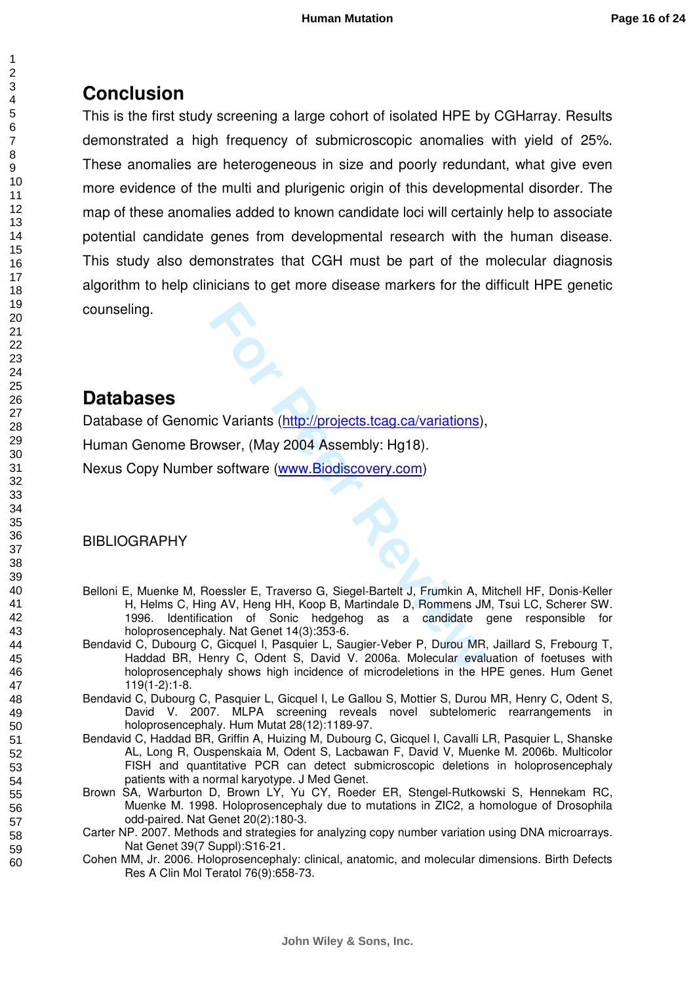# **Conclusion**

This is the first study screening a large cohort of isolated HPE by CGHarray. Results demonstrated a high frequency of submicroscopic anomalies with yield of 25%. These anomalies are heterogeneous in size and poorly redundant, what give even more evidence of the multi and plurigenic origin of this developmental disorder. The map of these anomalies added to known candidate loci will certainly help to associate potential candidate genes from developmental research with the human disease. This study also demonstrates that CGH must be part of the molecular diagnosis algorithm to help clinicians to get more disease markers for the difficult HPE genetic counseling.

## **Databases**

**Formular Control Control Control Control Control Control Control Control Control Control Control Control Control Control Control Control Control Control Control Control Control Control Control Control Control Control Cont** Database of Genomic Variants (http://projects.tcag.ca/variations), Human Genome Browser, (May 2004 Assembly: Hg18). Nexus Copy Number software (www.Biodiscovery.com)

### BIBLIOGRAPHY

- Belloni E, Muenke M, Roessler E, Traverso G, Siegel-Bartelt J, Frumkin A, Mitchell HF, Donis-Keller H, Helms C, Hing AV, Heng HH, Koop B, Martindale D, Rommens JM, Tsui LC, Scherer SW. 1996. Identification of Sonic hedgehog as a candidate gene responsible for holoprosencephaly. Nat Genet 14(3):353-6.
- Bendavid C, Dubourg C, Gicquel I, Pasquier L, Saugier-Veber P, Durou MR, Jaillard S, Frebourg T, Haddad BR, Henry C, Odent S, David V. 2006a. Molecular evaluation of foetuses with holoprosencephaly shows high incidence of microdeletions in the HPE genes. Hum Genet 119(1-2):1-8.
- Bendavid C, Dubourg C, Pasquier L, Gicquel I, Le Gallou S, Mottier S, Durou MR, Henry C, Odent S, David V. 2007. MLPA screening reveals novel subtelomeric rearrangements in holoprosencephaly. Hum Mutat 28(12):1189-97.
- Bendavid C, Haddad BR, Griffin A, Huizing M, Dubourg C, Gicquel I, Cavalli LR, Pasquier L, Shanske AL, Long R, Ouspenskaia M, Odent S, Lacbawan F, David V, Muenke M. 2006b. Multicolor FISH and quantitative PCR can detect submicroscopic deletions in holoprosencephaly patients with a normal karyotype. J Med Genet.
- Brown SA, Warburton D, Brown LY, Yu CY, Roeder ER, Stengel-Rutkowski S, Hennekam RC, Muenke M. 1998. Holoprosencephaly due to mutations in ZIC2, a homologue of Drosophila odd-paired. Nat Genet 20(2):180-3.
- Carter NP. 2007. Methods and strategies for analyzing copy number variation using DNA microarrays. Nat Genet 39(7 Suppl):S16-21.
- Cohen MM, Jr. 2006. Holoprosencephaly: clinical, anatomic, and molecular dimensions. Birth Defects Res A Clin Mol Teratol 76(9):658-73.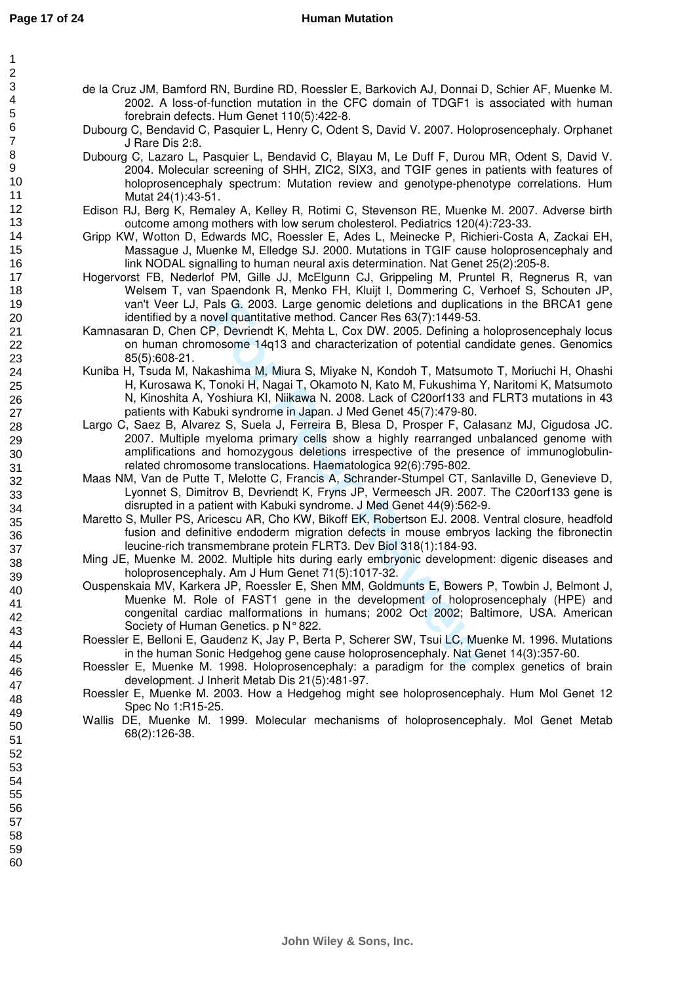$\overline{1}$ 

#### **Human Mutation**

- de la Cruz JM, Bamford RN, Burdine RD, Roessler E, Barkovich AJ, Donnai D, Schier AF, Muenke M. 2002. A loss-of-function mutation in the CFC domain of TDGF1 is associated with human forebrain defects. Hum Genet 110(5):422-8.
	- Dubourg C, Bendavid C, Pasquier L, Henry C, Odent S, David V. 2007. Holoprosencephaly. Orphanet J Rare Dis 2:8.
	- Dubourg C, Lazaro L, Pasquier L, Bendavid C, Blayau M, Le Duff F, Durou MR, Odent S, David V. 2004. Molecular screening of SHH, ZIC2, SIX3, and TGIF genes in patients with features of holoprosencephaly spectrum: Mutation review and genotype-phenotype correlations. Hum Mutat 24(1):43-51.
	- Edison RJ, Berg K, Remaley A, Kelley R, Rotimi C, Stevenson RE, Muenke M. 2007. Adverse birth outcome among mothers with low serum cholesterol. Pediatrics 120(4):723-33.
	- Gripp KW, Wotton D, Edwards MC, Roessler E, Ades L, Meinecke P, Richieri-Costa A, Zackai EH, Massague J, Muenke M, Elledge SJ. 2000. Mutations in TGIF cause holoprosencephaly and link NODAL signalling to human neural axis determination. Nat Genet 25(2):205-8.
	- Hogervorst FB, Nederlof PM, Gille JJ, McElgunn CJ, Grippeling M, Pruntel R, Regnerus R, van Welsem T, van Spaendonk R, Menko FH, Kluijt I, Dommering C, Verhoef S, Schouten JP, van't Veer LJ, Pals G. 2003. Large genomic deletions and duplications in the BRCA1 gene identified by a novel quantitative method. Cancer Res 63(7):1449-53.
	- Kamnasaran D, Chen CP, Devriendt K, Mehta L, Cox DW. 2005. Defining a holoprosencephaly locus on human chromosome 14q13 and characterization of potential candidate genes. Genomics 85(5):608-21.
	- Kuniba H, Tsuda M, Nakashima M, Miura S, Miyake N, Kondoh T, Matsumoto T, Moriuchi H, Ohashi H, Kurosawa K, Tonoki H, Nagai T, Okamoto N, Kato M, Fukushima Y, Naritomi K, Matsumoto N, Kinoshita A, Yoshiura KI, Niikawa N. 2008. Lack of C20orf133 and FLRT3 mutations in 43 patients with Kabuki syndrome in Japan. J Med Genet 45(7):479-80.
	- The Computive method. Cancer Res 63(7):1449-53.<br>
	The Development that the method. Cancer Res 63(7):1449-53.<br> **For Development K**, Mehta L, Cox DW. 2005. Defining a h<br>
	mosome 14q13 and characterization of potential cances<br> Largo C, Saez B, Alvarez S, Suela J, Ferreira B, Blesa D, Prosper F, Calasanz MJ, Cigudosa JC. 2007. Multiple myeloma primary cells show a highly rearranged unbalanced genome with amplifications and homozygous deletions irrespective of the presence of immunoglobulinrelated chromosome translocations. Haematologica 92(6):795-802.
	- Maas NM, Van de Putte T, Melotte C, Francis A, Schrander-Stumpel CT, Sanlaville D, Genevieve D, Lyonnet S, Dimitrov B, Devriendt K, Fryns JP, Vermeesch JR. 2007. The C20orf133 gene is disrupted in a patient with Kabuki syndrome. J Med Genet 44(9):562-9.
	- Maretto S, Muller PS, Aricescu AR, Cho KW, Bikoff EK, Robertson EJ. 2008. Ventral closure, headfold fusion and definitive endoderm migration defects in mouse embryos lacking the fibronectin leucine-rich transmembrane protein FLRT3. Dev Biol 318(1):184-93.
	- Ming JE, Muenke M. 2002. Multiple hits during early embryonic development: digenic diseases and holoprosencephaly. Am J Hum Genet 71(5):1017-32.
	- Ouspenskaia MV, Karkera JP, Roessler E, Shen MM, Goldmunts E, Bowers P, Towbin J, Belmont J, Muenke M. Role of FAST1 gene in the development of holoprosencephaly (HPE) and congenital cardiac malformations in humans; 2002 Oct 2002; Baltimore, USA. American Society of Human Genetics. p N° 822.
	- Roessler E, Belloni E, Gaudenz K, Jay P, Berta P, Scherer SW, Tsui LC, Muenke M. 1996. Mutations in the human Sonic Hedgehog gene cause holoprosencephaly. Nat Genet 14(3):357-60.
	- Roessler E, Muenke M. 1998. Holoprosencephaly: a paradigm for the complex genetics of brain development. J Inherit Metab Dis 21(5):481-97.
	- Roessler E, Muenke M. 2003. How a Hedgehog might see holoprosencephaly. Hum Mol Genet 12 Spec No 1:R15-25.
	- Wallis DE, Muenke M. 1999. Molecular mechanisms of holoprosencephaly. Mol Genet Metab 68(2):126-38.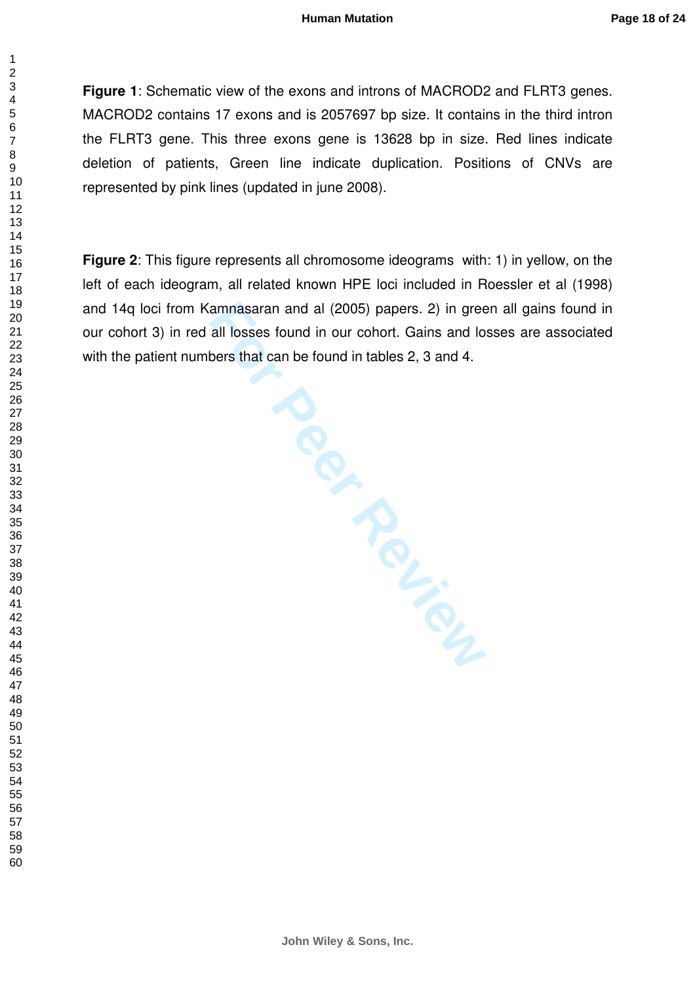**Figure 1**: Schematic view of the exons and introns of MACROD2 and FLRT3 genes. MACROD2 contains 17 exons and is 2057697 bp size. It contains in the third intron the FLRT3 gene. This three exons gene is 13628 bp in size. Red lines indicate deletion of patients, Green line indicate duplication. Positions of CNVs are represented by pink lines (updated in june 2008).

**Figure 2**: This figure represents all chromosome ideograms with: 1) in yellow, on the left of each ideogram, all related known HPE loci included in Roessler et al (1998) and 14q loci from Kamnasaran and al (2005) papers. 2) in green all gains found in our cohort 3) in red all losses found in our cohort. Gains and losses are associated with the patient numbers that can be found in tables 2, 3 and 4.

**For Periodicide** 

 $\mathbf{1}$  $\overline{2}$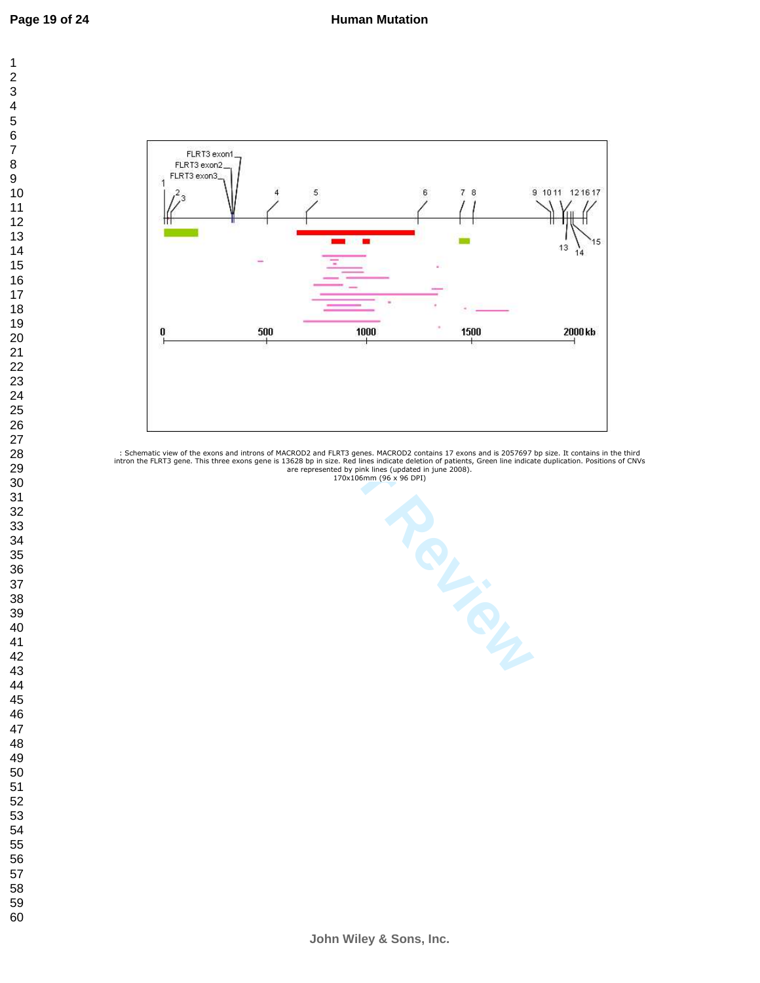

: Schematic view of the exons and introns of MACROD2 and FLRT3 genes. MACROD2 contains 17 exons and is 2057697 bp size. It contains in the third intron the FLRT3 gene. This three exons gene is 13628 bp in size. Red lines indicate deletion of patients, Green line indicate duplication. Positions of CNVs are represented by pink lines (updated in june 2008). 170x106mm (96 x 96 DPI)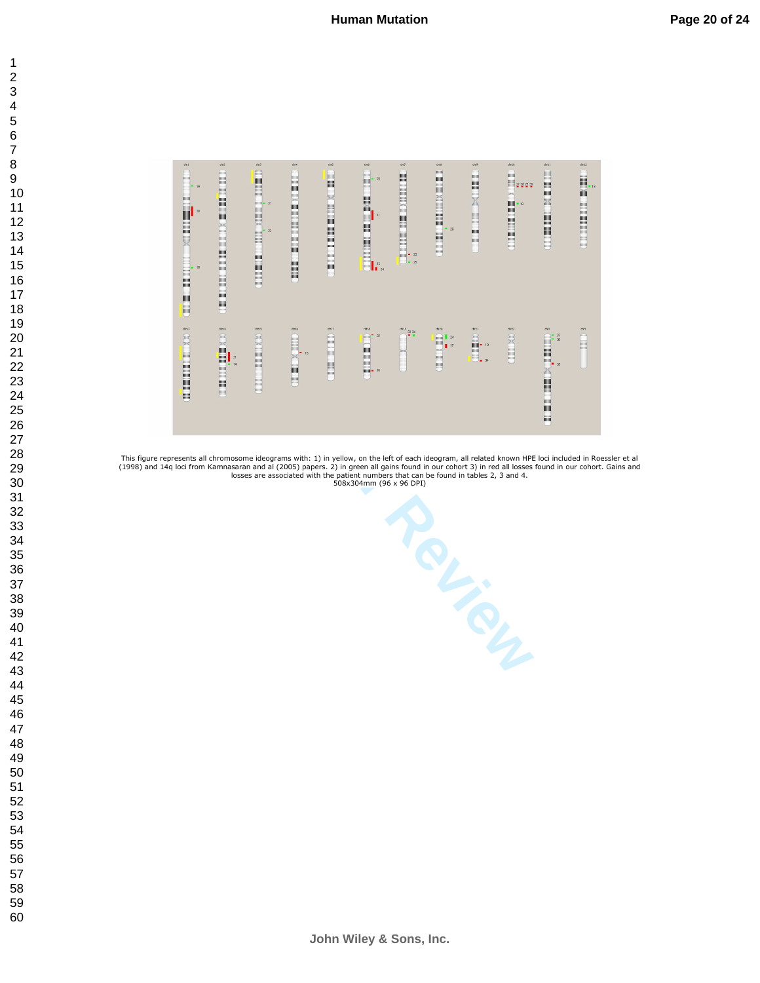



This figure represents all chromosome ideograms with: 1) in yellow, on the left of each ideogram, all related known HPE loci included in Roessler et al<br>(1998) and 14q loci from Kamnasaran and al (2005) papers. 2) in green

**John Wiley & Sons, Inc.**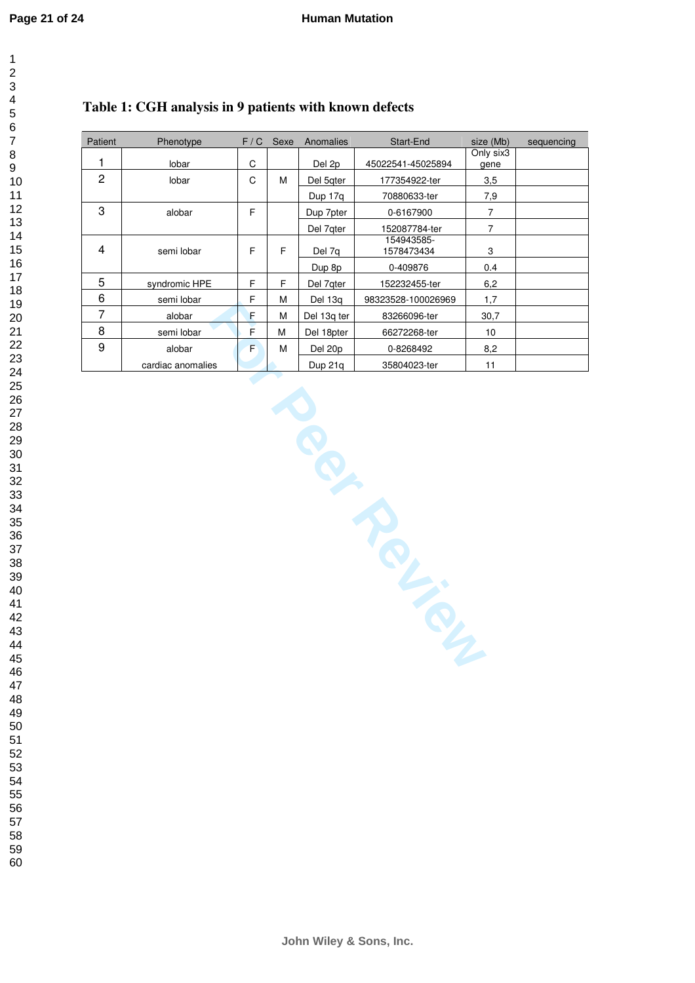## **Table 1: CGH analysis in 9 patients with known defects**

| <b>Patient</b> | Phenotype         | F/C | Sexe | Anomalies   | Start-End                | size (Mb)         | sequencing |
|----------------|-------------------|-----|------|-------------|--------------------------|-------------------|------------|
| 1              | lobar             | C   |      | Del 2p      | 45022541-45025894        | Only six3<br>gene |            |
| $\overline{c}$ | lobar             | C   | M    | Del 5qter   | 177354922-ter            | 3,5               |            |
|                |                   |     |      | Dup 17g     | 70880633-ter             | 7,9               |            |
| 3              | alobar            | F   |      | Dup 7pter   | 0-6167900                | 7                 |            |
|                |                   |     |      | Del 7qter   | 152087784-ter            | 7                 |            |
| 4              | semi lobar        | F   | F    | Del 7q      | 154943585-<br>1578473434 | 3                 |            |
|                |                   |     |      | Dup 8p      | 0-409876                 | 0.4               |            |
| 5              | syndromic HPE     | F   | F    | Del 7qter   | 152232455-ter            | 6,2               |            |
| 6              | semi lobar        | F   | M    | Del 13g     | 98323528-100026969       | 1,7               |            |
| 7              | alobar            | F   | M    | Del 13g ter | 83266096-ter             | 30,7              |            |
| 8              | semi lobar        | E   | M    | Del 18pter  | 66272268-ter             | 10                |            |
| 9              | alobar            | F   | M    | Del 20p     | 0-8268492                | 8,2               |            |
|                | cardiac anomalies |     |      | Dup 21q     | 35804023-ter             | 11                |            |

**F** M Del 13q ter 83266700062699<br> **F** M Del 13q ter 86272288-ter<br> **F** M Dup 21q 35804023-ter

**John Wiley & Sons, Inc.**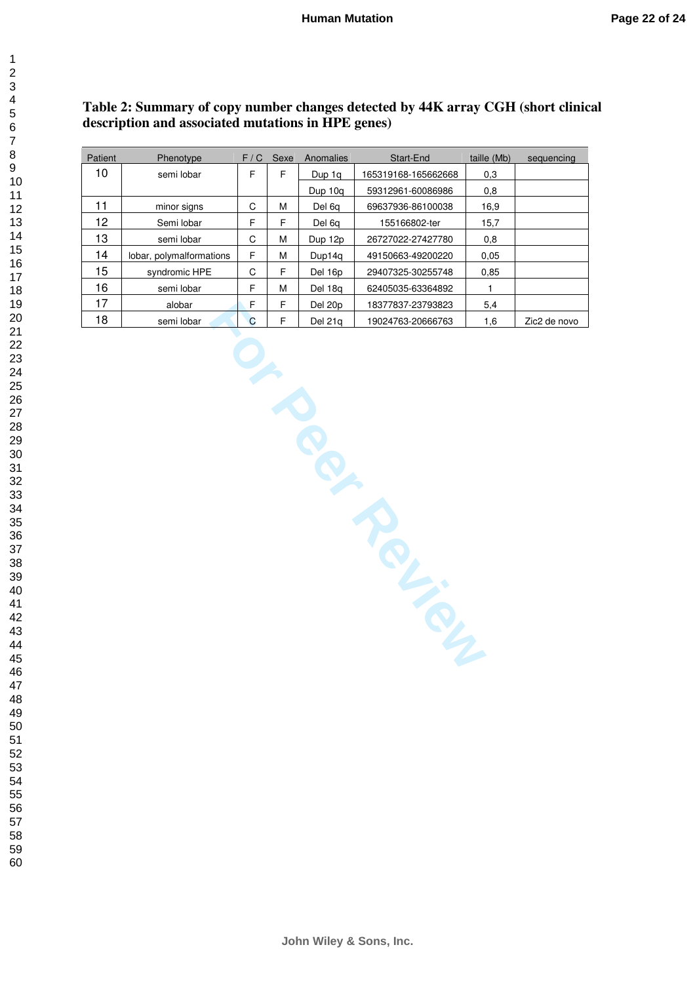| Table 2: Summary of copy number changes detected by 44K array CGH (short clinical |  |
|-----------------------------------------------------------------------------------|--|
| description and associated mutations in HPE genes)                                |  |

| Patient | Phenotype                | F/G | Sexe | Anomalies | Start-End           | taille (Mb) | sequencing   |
|---------|--------------------------|-----|------|-----------|---------------------|-------------|--------------|
| 10      | semi lobar               | F   | F    | Dup 1g    | 165319168-165662668 | 0,3         |              |
|         |                          |     |      | Dup 10g   | 59312961-60086986   | 0,8         |              |
| 11      | minor signs              | C   | M    | Del 6a    | 69637936-86100038   | 16,9        |              |
| 12      | Semi lobar               | F   | F    | Del 6q    | 155166802-ter       | 15,7        |              |
| 13      | semi lobar               | C   | M    | Dup 12p   | 26727022-27427780   | 0,8         |              |
| 14      | lobar, polymalformations | F   | M    | Dup14a    | 49150663-49200220   | 0.05        |              |
| 15      | syndromic HPE            | C   | F    | Del 16p   | 29407325-30255748   | 0.85        |              |
| 16      | semi lobar               | F   | M    | Del 18a   | 62405035-63364892   |             |              |
| 17      | alobar                   | F   | F    | Del 20p   | 18377837-23793823   | 5,4         |              |
| 18      | semi lobar               | C.  | F    | Del 21a   | 19024763-20666763   | 1,6         | Zic2 de novo |

FOR PE Del 21q 19024763-20666763<br>
Per Review 19024763-20666763<br>
Per Review 19024763-20666763<br>
Per Review 19024763-20666763

 $\mathbf{1}$  $\overline{2}$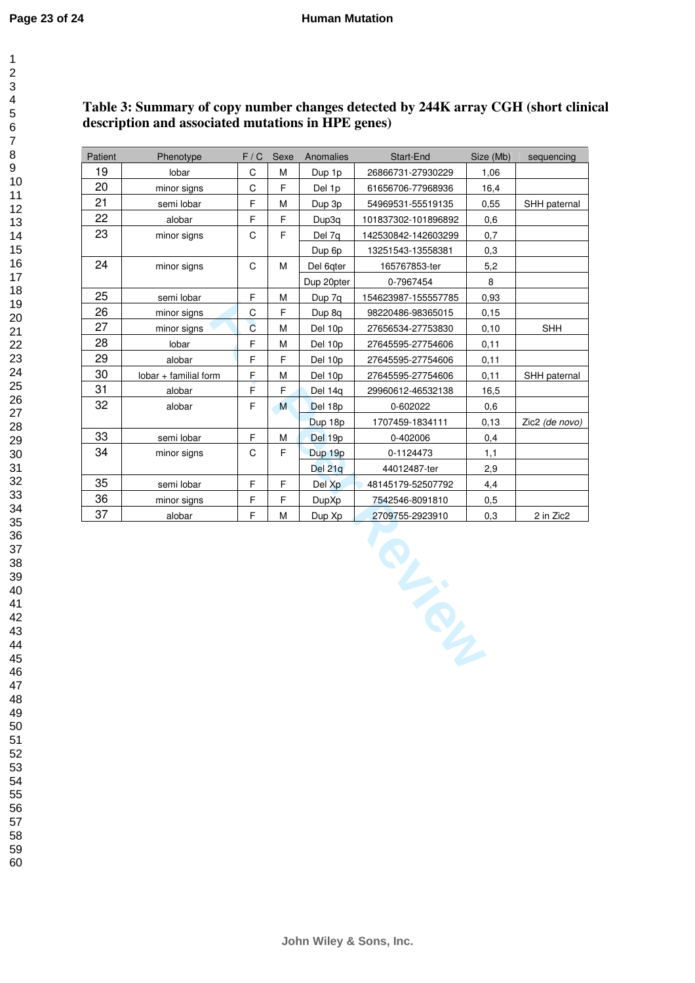$\overline{1}$ 

| 1       |
|---------|
| 2       |
|         |
|         |
|         |
|         |
|         |
|         |
|         |
|         |
|         |
|         |
|         |
|         |
|         |
|         |
|         |
|         |
|         |
|         |
|         |
|         |
|         |
|         |
|         |
|         |
|         |
|         |
|         |
|         |
|         |
|         |
|         |
|         |
|         |
|         |
|         |
|         |
|         |
|         |
|         |
| 40      |
| 41      |
| 42      |
| 43      |
| 44      |
|         |
| 45      |
| 46      |
| 47      |
| 48      |
| 49      |
| 50      |
| 51      |
| 5,      |
| 53<br>Ś |
| 54      |
| 55      |
| 56      |
| 57      |
| 58      |
|         |

 

### **Table 3: Summary of copy number changes detected by 244K array CGH (short clinical description and associated mutations in HPE genes)**

| Patient | Phenotype             | F / C          | Sexe        | Anomalies    | Start-End           | Size (Mb) | sequencing     |
|---------|-----------------------|----------------|-------------|--------------|---------------------|-----------|----------------|
| 19      | lobar                 | C              | М           | Dup 1p       | 26866731-27930229   | 1,06      |                |
| 20      | minor signs           | C              | F           | Del 1p       | 61656706-77968936   | 16,4      |                |
| 21      | semi lobar            | F              | M           | Dup 3p       | 54969531-55519135   | 0,55      | SHH paternal   |
| 22      | alobar                | F              | F           | Dup3q        | 101837302-101896892 | 0,6       |                |
| 23      | minor signs           | C              | F           | Del 7q       | 142530842-142603299 | 0,7       |                |
|         |                       |                |             | Dup 6p       | 13251543-13558381   | 0,3       |                |
| 24      | minor signs           | C              | M           | Del 6qter    | 165767853-ter       | 5,2       |                |
|         |                       |                |             | Dup 20pter   | 0-7967454           | 8         |                |
| 25      | semi lobar            | F              | M           | Dup 7q       | 154623987-155557785 | 0,93      |                |
| 26      | minor signs           | C              | F           | Dup 8q       | 98220486-98365015   | 0, 15     |                |
| 27      | minor signs           | $\overline{C}$ | M           | Del 10p      | 27656534-27753830   | 0,10      | <b>SHH</b>     |
| 28      | lobar                 | F              | M           | Del 10p      | 27645595-27754606   | 0,11      |                |
| 29      | alobar                | F              | F           | Del 10p      | 27645595-27754606   | 0,11      |                |
| 30      | lobar + familial form | F              | M           | Del 10p      | 27645595-27754606   | 0,11      | SHH paternal   |
| 31      | alobar                | F              | $\mathsf F$ | Del 14q      | 29960612-46532138   | 16,5      |                |
| 32      | alobar                | F              | M           | Del 18p      | 0-602022            | 0,6       |                |
|         |                       |                |             | Dup 18p      | 1707459-1834111     | 0, 13     | Zic2 (de novo) |
| 33      | semi lobar            | F              | M           | Del 19p      | 0-402006            | 0,4       |                |
| 34      | minor signs           | $\mathsf C$    | F           | Dup 19p      | 0-1124473           | 1,1       |                |
|         |                       |                |             | Del 21q      | 44012487-ter        | 2,9       |                |
| 35      | semi lobar            | F              | E           | Del Xp       | 48145179-52507792   | 4.4       |                |
| 36      | minor signs           | F              | $\mathsf F$ | <b>DupXp</b> | 7542546-8091810     | 0,5       |                |
| 37      | alobar                | F              | M           | Dup Xp       | 2709755-2923910     | 0,3       | 2 in Zic2      |
|         |                       |                |             |              | RIVER A             |           |                |